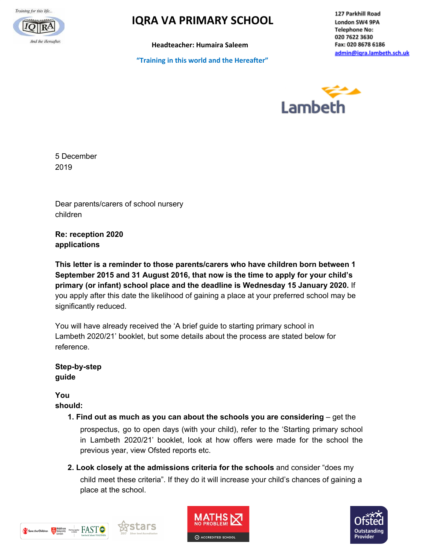Training for this life...



# *IQRA VA PRIMARY SCHOOL*

**Headteacher: Humaira Saleem**

**"Training in this world and the Hereafter"**

127 Parkhill Road London SW4 9PA **Telephone No:** 020 7622 3630 Fax: 020 8678 6186 admin@igra.lambeth.sch.uk



5 December 2019

Dear parents/carers of school nursery children

**Re: reception 2020 applications**

**This letter is a reminder to those parents/carers who have children born between 1 September 2015 and 31 August 2016, that now is the time to apply for your child's primary (or infant) school place and the deadline is Wednesday 15 January 2020.** If you apply after this date the likelihood of gaining a place at your preferred school may be significantly reduced.

You will have already received the 'A brief guide to starting primary school in Lambeth 2020/21' booklet, but some details about the process are stated below for reference.

**Step-by-step guide**

**You should:**

- **1. Find out as much as you can about the schools you are considering** get the prospectus, go to open days (with your child), refer to the 'Starting primary school in Lambeth 2020/21' booklet, look at how offers were made for the school the previous year, view Ofsted reports etc.
- **2. Look closely at the admissions criteria for the schools** and consider "does my child meet these criteria". If they do it will increase your child's chances of gaining a place at the school.





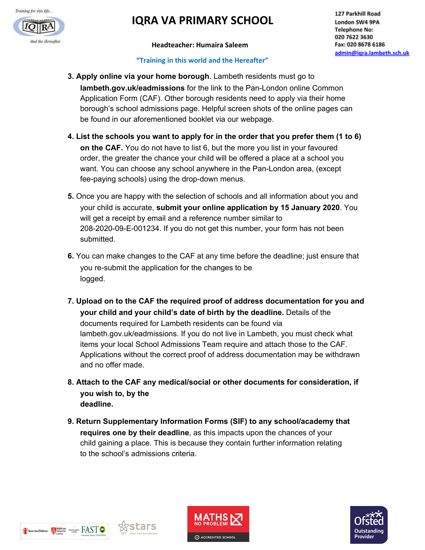

# *IO***IRA VA PRIMARY SCHOOL**

#### **Headteacher: Humaira Saleem**

#### **"Training in this world and the Hereafter"**

- **3. Apply online via your home borough**. Lambeth residents must go to **lambeth.gov.uk/eadmissions** for the link to the Pan-London online Common Application Form (CAF). Other borough residents need to apply via their home borough's school admissions page. Helpful screen shots of the online pages can be found in our aforementioned booklet via our webpage.
- **4. List the schools you want to apply for in the order that you prefer them (1 to 6) on the CAF.** You do not have to list 6, but the more you list in your favoured order, the greater the chance your child will be offered a place at a school you want. You can choose any school anywhere in the Pan-London area, (except fee-paying schools) using the drop-down menus.
- **5.** Once you are happy with the selection of schools and all information about you and your child is accurate, **submit your online application by 15 January 2020**. You will get a receipt by email and a reference number similar to 208-2020-09-E-001234. If you do not get this number, your form has not been submitted.
- **6.** You can make changes to the CAF at any time before the deadline; just ensure that you re-submit the application for the changes to be logged.
- **7. Upload on to the CAF the required proof of address documentation for you and your child and your child's date of birth by the deadline.** Details of the documents required for Lambeth residents can be found via lambeth.gov.uk/eadmissions. If you do not live in Lambeth, you must check what items your local School Admissions Team require and attach those to the CAF. Applications without the correct proof of address documentation may be withdrawn and no offer made.
- **8. Attach to the CAF any medical/social or other documents for consideration, if you wish to, by the deadline.**
- **9. Return Supplementary Information Forms (SIF) to any school/academy that requires one by their deadline**, as this impacts upon the chances of your child gaining a place. This is because they contain further information relating to the school's admissions criteria.





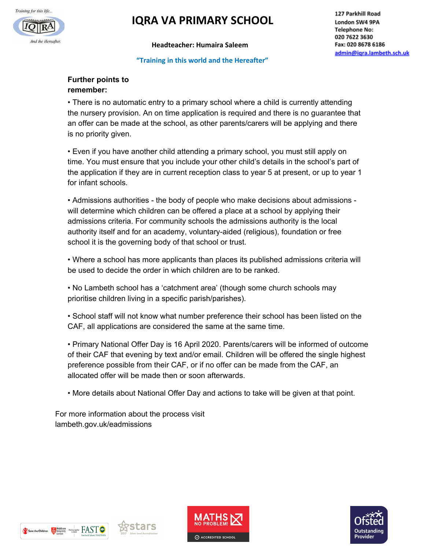

## **IQRA VA PRIMARY SCHOOL**

**Headteacher: Humaira Saleem**

#### **"Training in this world and the Hereafter"**

#### **Further points to remember:**

• There is no automatic entry to a primary school where a child is currently attending the nursery provision. An on time application is required and there is no guarantee that an offer can be made at the school, as other parents/carers will be applying and there is no priority given.

• Even if you have another child attending a primary school, you must still apply on time. You must ensure that you include your other child's details in the school's part of the application if they are in current reception class to year 5 at present, or up to year 1 for infant schools.

• Admissions authorities - the body of people who make decisions about admissions will determine which children can be offered a place at a school by applying their admissions criteria. For community schools the admissions authority is the local authority itself and for an academy, voluntary-aided (religious), foundation or free school it is the governing body of that school or trust.

• Where a school has more applicants than places its published admissions criteria will be used to decide the order in which children are to be ranked.

• No Lambeth school has a 'catchment area' (though some church schools may prioritise children living in a specific parish/parishes).

• School staff will not know what number preference their school has been listed on the CAF, all applications are considered the same at the same time.

• Primary National Offer Day is 16 April 2020. Parents/carers will be informed of outcome of their CAF that evening by text and/or email. Children will be offered the single highest preference possible from their CAF, or if no offer can be made from the CAF, an allocated offer will be made then or soon afterwards.

• More details about National Offer Day and actions to take will be given at that point.

For more information about the process visit lambeth.gov.uk/eadmissions